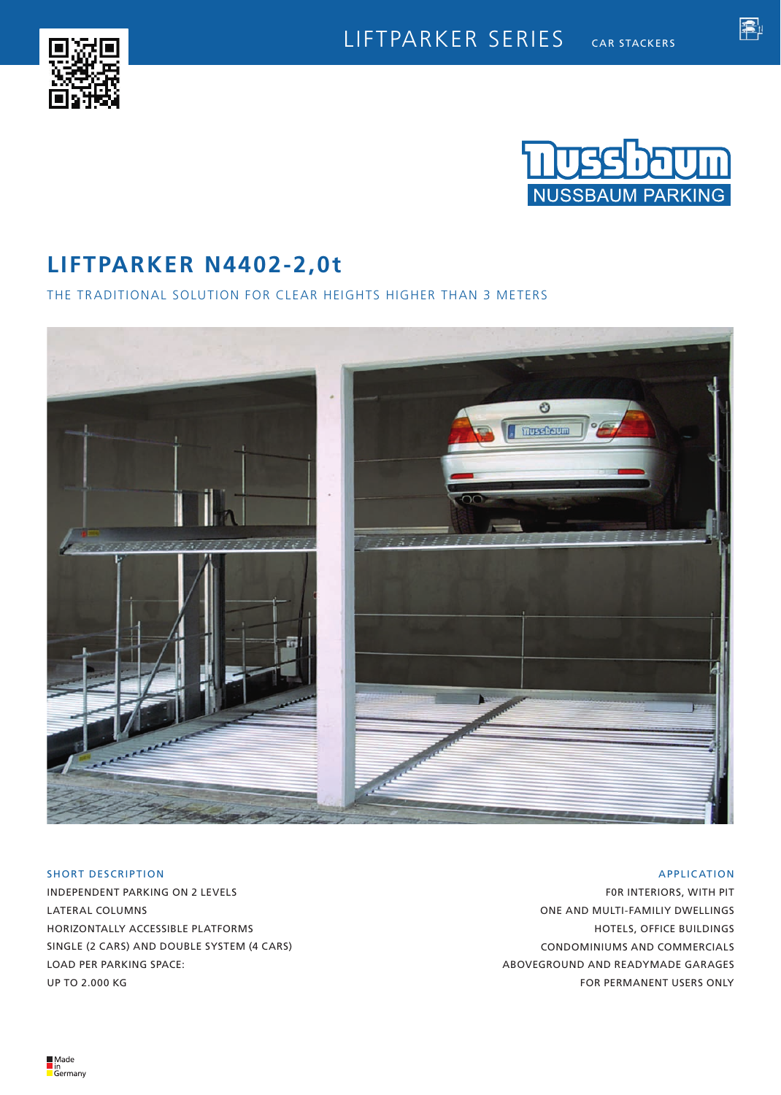



魯

# **LIFTPARKER N4402-2,0t**

## THE TRADITIONAL SOLUTION FOR CLEAR HEIGHTS HIGHER THAN 3 METERS



## SHORT DESCRIPTION

INDEPENDENT PARKING ON 2 LEVELS LATERAL COLUMNS HORIZONTALLY ACCESSIBLE PLATFORMS SINGLE (2 CARS) AND DOUBLE SYSTEM (4 CARS) LOAD PER PARKING SPACE: UP TO 2.000 KG

## APPLICATION

F0R INTERIORS, WITH PIT ONE AND MULTI-FAMILIY DWELLINGS HOTELS, OFFICE BUILDINGS CONDOMINIUMS AND COMMERCIALS ABOVEGROUND AND READYMADE GARAGES FOR PERMANENT USERS ONLY

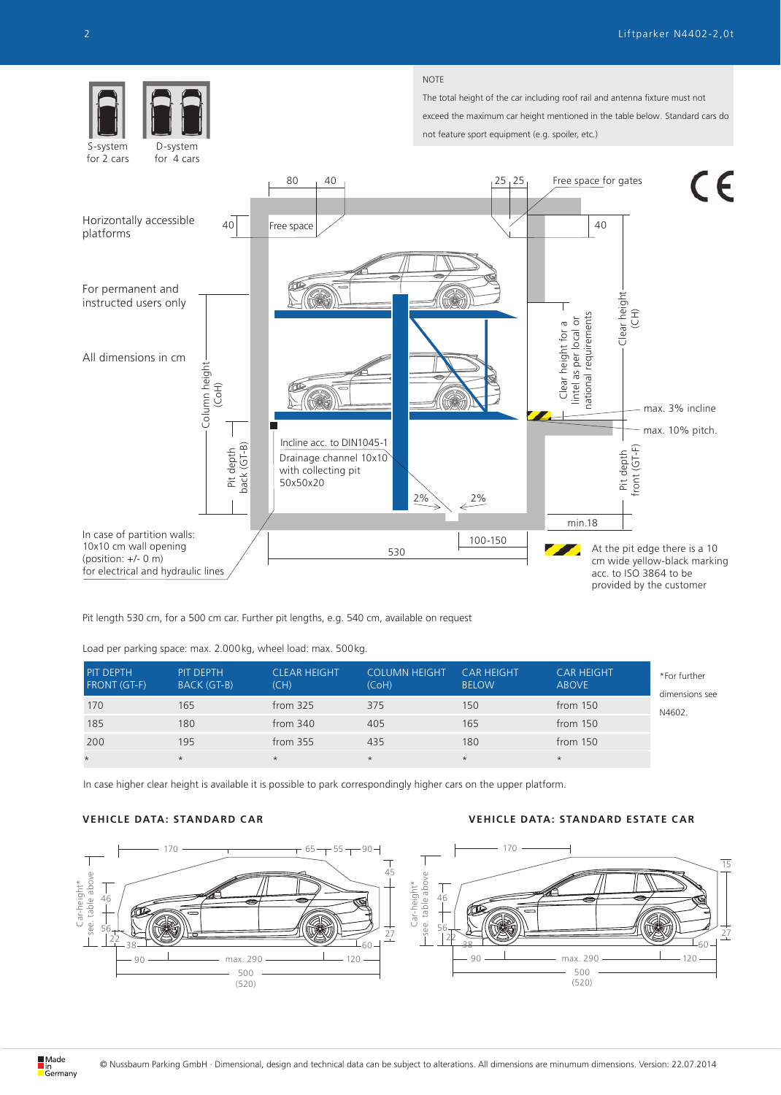

Pit length 530 cm, for a 500 cm car. Further pit lengths, e.g. 540 cm, available on request

Load per parking space: max. 2.000kg, wheel load: max. 500kg.

| PIT DEPTH<br><b>FRONT (GT-F)</b> | PIT DEPTH<br>BACK (GT-B) | <b>CLEAR HEIGHT</b><br>(CH) | <b>COLUMN HEIGHT</b><br>(CoH) | <b>CAR HEIGHT</b><br><b>BELOW</b> | <b>CAR HEIGHT</b><br><b>ABOVE</b> | *For further<br>dimensions see |
|----------------------------------|--------------------------|-----------------------------|-------------------------------|-----------------------------------|-----------------------------------|--------------------------------|
| 170                              | 165                      | from $325$                  | 375                           | 150                               | from $150$                        | N4602.                         |
| 185                              | 180                      | from $340$                  | 405                           | 165                               | from $150$                        |                                |
| 200                              | 195                      | from $355$                  | 435                           | 180                               | from $150$                        |                                |
| $\star$                          | $\star$                  | $\star$                     | $\star$                       | $\star$                           | $\star$                           |                                |

In case higher clear height is available it is possible to park correspondingly higher cars on the upper platform.

## **VEHICLE DATA: STANDARD CAR VEHICLE DATA: STANDARD ESTATE CAR**

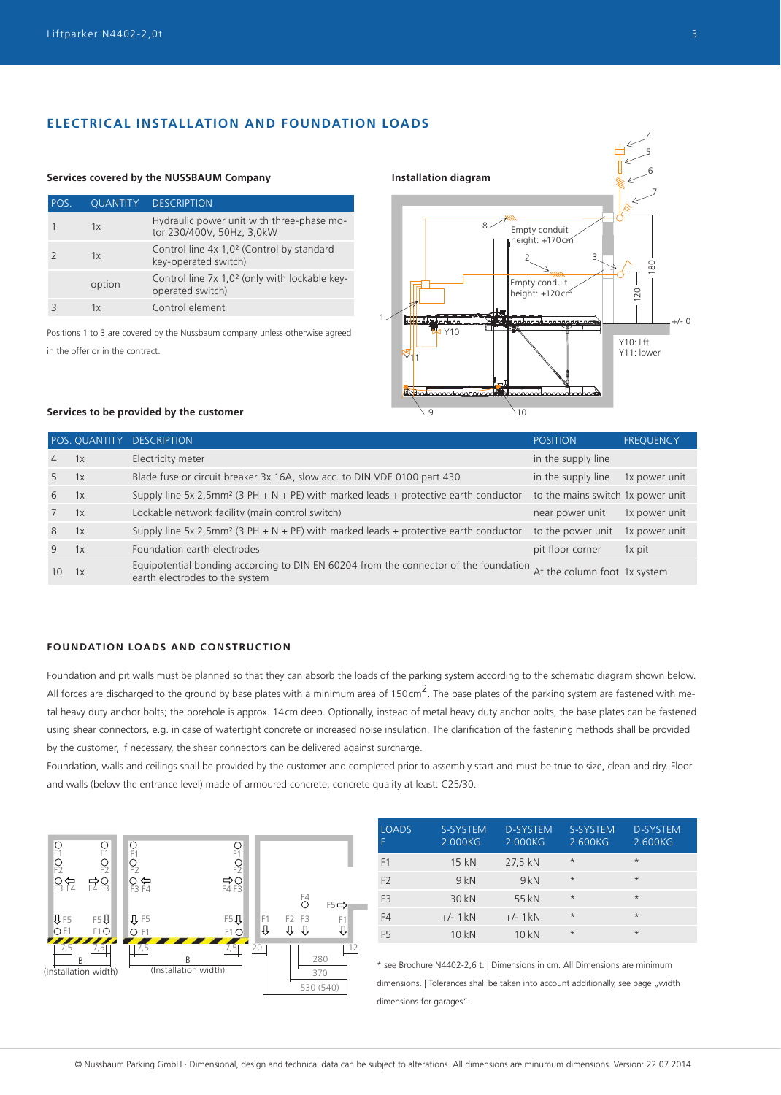## **ELECTRICAL INSTALLATION AND FOUNDATION LOADS**

## POS. QUANTITY DESCRIPTION 1 1x Hydraulic power unit with three-phase motor 230/400V, 50Hz, 3,0kW 2 1x Control line 4x 1,0<sup>2</sup> (Control by standard key-operated switch) option Control line 7x 1,0² (only with lockable keyoperated switch) 3 1x Control element

+/- 0 1 120 180 6 7 8 9  $\sqrt{10}$ 2 3 Y1<sub>1</sub>  $Y10$ **Services covered by the NUSSBAUM Company Installation diagram** Y10: lift Y11: lower Empty conduit height: +170 cr Empty conduit height: +120cm

Positions 1 to 3 are covered by the Nussbaum company unless otherwise agreed in the offer or in the contract.

## **Services to be provided by the customer**

|                | POS. QUANTITY | <b>DESCRIPTION</b>                                                                                                     | <b>POSITION</b>                   | <b>FREQUENCY</b> |
|----------------|---------------|------------------------------------------------------------------------------------------------------------------------|-----------------------------------|------------------|
| $\overline{4}$ | 1x            | Electricity meter                                                                                                      | in the supply line                |                  |
| 5              | 1x            | Blade fuse or circuit breaker 3x 16A, slow acc. to DIN VDE 0100 part 430                                               | in the supply line                | 1x power unit    |
| 6              | 1x            | Supply line 5x 2,5mm <sup>2</sup> (3 PH + N + PE) with marked leads + protective earth conductor                       | to the mains switch 1x power unit |                  |
| $7^{\circ}$    | 1x            | Lockable network facility (main control switch)                                                                        | near power unit                   | 1x power unit    |
| 8              | 1x            | Supply line 5x 2,5mm <sup>2</sup> (3 PH + N + PE) with marked leads + protective earth conductor                       | to the power unit                 | 1x power unit    |
| 9              | 1x            | Foundation earth electrodes                                                                                            | pit floor corner                  | 1x pit           |
| 10             | 1x            | Equipotential bonding according to DIN EN 60204 from the connector of the foundation<br>earth electrodes to the system | At the column foot 1x system      |                  |

## **FOUNDATION LOADS AND CONSTRUCTION**

Foundation and pit walls must be planned so that they can absorb the loads of the parking system according to the schematic diagram shown below. All forces are discharged to the ground by base plates with a minimum area of 150 cm<sup>2</sup>. The base plates of the parking system are fastened with metal heavy duty anchor bolts; the borehole is approx. 14cm deep. Optionally, instead of metal heavy duty anchor bolts, the base plates can be fastened using shear connectors, e.g. in case of watertight concrete or increased noise insulation. The clarification of the fastening methods shall be provided by the customer, if necessary, the shear connectors can be delivered against surcharge.

Foundation, walls and ceilings shall be provided by the customer and completed prior to assembly start and must be true to size, clean and dry. Floor and walls (below the entrance level) made of armoured concrete, concrete quality at least: C25/30.



| <b>LOADS</b><br>F | S-SYSTEM<br>2.000KG | <b>D-SYSTEM</b><br>2.000KG | S-SYSTEM<br>2.600KG | <b>D-SYSTEM</b><br>2.600KG |
|-------------------|---------------------|----------------------------|---------------------|----------------------------|
| F1                | 15 kN               | 27,5 kN                    | $\star$             | $\star$                    |
| F <sub>2</sub>    | 9kN                 | 9kN                        | $\star$             | $\star$                    |
| F <sub>3</sub>    | 30 kN               | 55 kN                      | $\star$             | $\star$                    |
| F4                | $+/-$ 1 kN          | $+/-$ 1 kN                 | $\star$             | $\star$                    |
| F <sub>5</sub>    | 10 kN               | 10 kN                      | $\star$             | $\star$                    |

\* see Brochure N4402-2,6 t. | Dimensions in cm. All Dimensions are minimum dimensions. | Tolerances shall be taken into account additionally, see page "width dimensions for garages".

4

5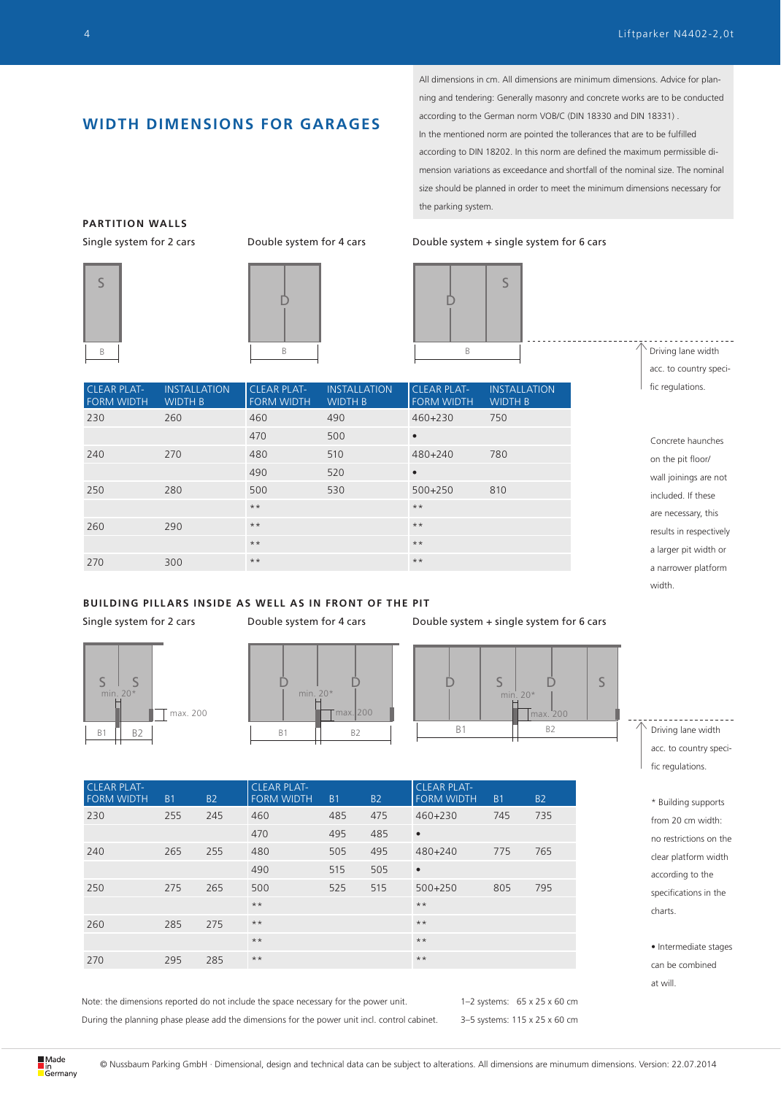## **WIDTH DIMENSIONS FOR GARAGES**

All dimensions in cm. All dimensions are minimum dimensions. Advice for planning and tendering: Generally masonry and concrete works are to be conducted according to the German norm VOB/C (DIN 18330 and DIN 18331) . In the mentioned norm are pointed the tollerances that are to be fulfilled according to DIN 18202. In this norm are defined the maximum permissible dimension variations as exceedance and shortfall of the nominal size. The nominal size should be planned in order to meet the minimum dimensions necessary for the parking system.

## Single system for 2 cars Double system for 4 cars Double system + single system for 6 cars



Driving lane width acc. to country specific regulations.

Concrete haunches on the pit floor/ wall joinings are not included. If these are necessary, this results in respectively a larger pit width or a narrower platform width.

| <b>CLEAR PLAT-</b><br><b>FORM WIDTH</b> | <b>INSTALLATION</b><br><b>WIDTH B</b> | <b>CLEAR PLAT-</b><br><b>FORM WIDTH</b> | <b>INSTALLATION</b><br><b>WIDTH B</b> | <b>CLEAR PLAT-</b><br><b>FORM WIDTH</b> | <b>INSTALLATION</b><br><b>WIDTH B</b> |
|-----------------------------------------|---------------------------------------|-----------------------------------------|---------------------------------------|-----------------------------------------|---------------------------------------|
| 230                                     | 260                                   | 460                                     | 490                                   | $460 + 230$                             | 750                                   |
|                                         |                                       | 470                                     | 500                                   | $\bullet$                               |                                       |
| 240                                     | 270                                   | 480                                     | 510                                   | 480+240                                 | 780                                   |
|                                         |                                       | 490                                     | 520                                   | $\bullet$                               |                                       |
| 250                                     | 280                                   | 500                                     | 530                                   | $500+250$                               | 810                                   |
|                                         |                                       | $***$                                   |                                       | $***$                                   |                                       |
| 260                                     | 290                                   | $***$                                   |                                       | $***$                                   |                                       |
|                                         |                                       | $***$                                   |                                       | $***$                                   |                                       |
| 270                                     | 300                                   | $***$                                   |                                       | $***$                                   |                                       |
|                                         |                                       |                                         |                                       |                                         |                                       |

**PARTITION WALLS**







min. 20\*



max. 200  $min^2 20$ <sup>\*</sup>  $S$   $\vert$   $D$   $\vert$   $S$ 

| <b>CLEAR PLAT-</b><br><b>FORM WIDTH</b> | <b>B1</b> | <b>B2</b> | <b>CLEAR PLAT-</b><br><b>FORM WIDTH</b> | <b>B1</b> | <b>B2</b> | <b>CLEAR PLAT-</b><br><b>FORM WIDTH</b> | <b>B1</b> | <b>B2</b> |
|-----------------------------------------|-----------|-----------|-----------------------------------------|-----------|-----------|-----------------------------------------|-----------|-----------|
| 230                                     | 255       | 245       | 460                                     | 485       | 475       | 460+230                                 | 745       | 735       |
|                                         |           |           | 470                                     | 495       | 485       | $\bullet$                               |           |           |
| 240                                     | 265       | 255       | 480                                     | 505       | 495       | 480+240                                 | 775       | 765       |
|                                         |           |           | 490                                     | 515       | 505       | $\bullet$                               |           |           |
| 250                                     | 275       | 265       | 500                                     | 525       | 515       | $500+250$                               | 805       | 795       |
|                                         |           |           | $***$                                   |           |           | $***$                                   |           |           |
| 260                                     | 285       | 275       | $***$                                   |           |           | $***$                                   |           |           |
|                                         |           |           | $***$                                   |           |           | $***$                                   |           |           |
| 270                                     | 295       | 285       | $\star\,\star$                          |           |           | $***$                                   |           |           |

Note: the dimensions reported do not include the space necessary for the power unit. During the planning phase please add the dimensions for the power unit incl. control cabinet.

 $\top$  max. 200

min. 20<sup>\*</sup>

 $S$  | S

1–2 systems: 65 x 25 x 60 cm 3–5 systems: 115 x 25 x 60 cm Driving lane width acc. to country specific regulations.

\* Building supports from 20 cm width: no restrictions on the clear platform width according to the specifications in the charts.

• Intermediate stages can be combined at will.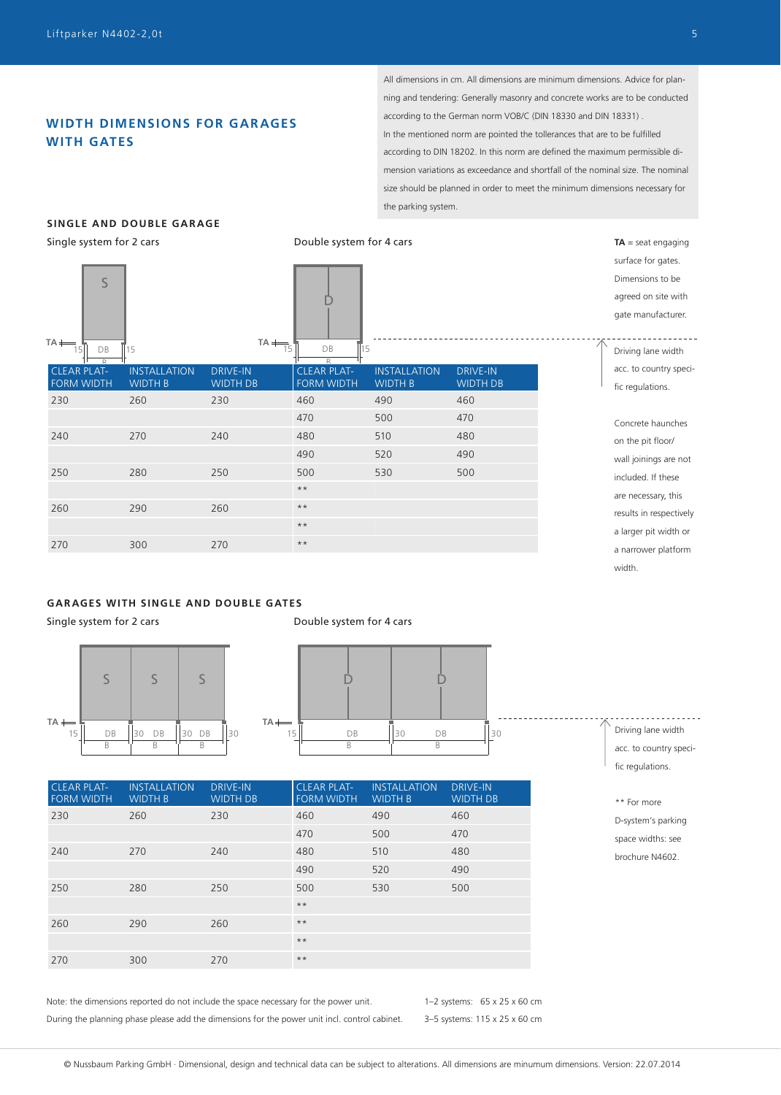## **WIDTH DIMENSIONS FOR GAR AGES WITH GATES**

All dimensions in cm. All dimensions are minimum dimensions. Advice for planning and tendering: Generally masonry and concrete works are to be conducted according to the German norm VOB/C (DIN 18330 and DIN 18331) . In the mentioned norm are pointed the tollerances that are to be fulfilled according to DIN 18202. In this norm are defined the maximum permissible dimension variations as exceedance and shortfall of the nominal size. The nominal size should be planned in order to meet the minimum dimensions necessary for the parking system.

## **SINGLE AND DOUBLE GARAGE**

Single system for 2 cars **Double system for 4 cars** Double system for 4 cars

**TA** ELEAR PLAT-15 15 DB **CLEAR PLAT-**15 DB 15 **TA** D FORM WIDTH **INSTALLATION** WIDTH B DRIVE-IN WIDTH DB FORM WIDTH **INSTALLATION** WIDTH B DRIVE-IN WIDTH DB 230 260 230 460 490 460 470 500 470 240 270 240 480 510 480 490 520 490 250 280 250 500 530 500 \*\* 260 290 260 \*\* \*\* 270 300 270 \*\* surface for gates. Dimensions to be agreed on site with gate manufacturer.  $\leq$ 

## **GARAGES WITH SINGLE AND DOUBLE GATES**

Single system for 2 cars Theorem 2 cars Double system for 4 cars





| <b>CLEAR PLAT-</b><br><b>FORM WIDTH</b> | <b>INSTALLATION</b><br><b>WIDTH B</b> | <b>DRIVE-IN</b><br><b>WIDTH DB</b> | <b>CLEAR PLAT-</b><br><b>FORM WIDTH</b> | <b>INSTALLATION</b><br><b>WIDTH B</b> | <b>DRIVE-IN</b><br><b>WIDTH DB</b> |
|-----------------------------------------|---------------------------------------|------------------------------------|-----------------------------------------|---------------------------------------|------------------------------------|
| 230                                     | 260                                   | 230                                | 460                                     | 490                                   | 460                                |
|                                         |                                       |                                    | 470                                     | 500                                   | 470                                |
| 240                                     | 270                                   | 240                                | 480                                     | 510                                   | 480                                |
|                                         |                                       |                                    | 490                                     | 520                                   | 490                                |
| 250                                     | 280                                   | 250                                | 500                                     | 530                                   | 500                                |
|                                         |                                       |                                    | $***$                                   |                                       |                                    |
| 260                                     | 290                                   | 260                                | $***$                                   |                                       |                                    |
|                                         |                                       |                                    | $***$                                   |                                       |                                    |
| 270                                     | 300                                   | 270                                | $***$                                   |                                       |                                    |

Note: the dimensions reported do not include the space necessary for the power unit. During the planning phase please add the dimensions for the power unit incl. control cabinet.

1–2 systems: 65 x 25 x 60 cm 3–5 systems: 115 x 25 x 60 cm

<u> - - - - - - - - - - - -</u> Driving lane width acc. to country specific regulations.

**TA** = seat engaging

Concrete haunches on the pit floor/ wall joinings are not included. If these are necessary, this results in respectively a larger pit width or a narrower platform width.

Driving lane width acc. to country specific regulations.

<sup>\*\*</sup> For more D-system's parking space widths: see brochure N4602.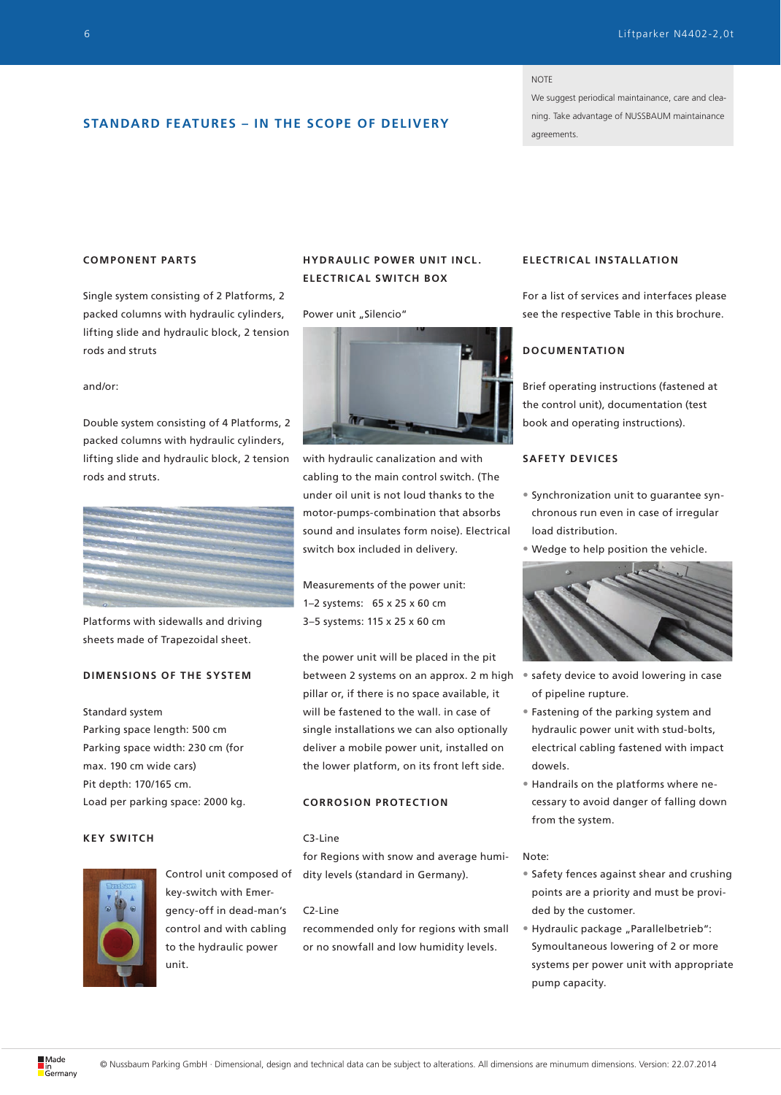#### NOTE

We suggest periodical maintainance, care and cleaning. Take advantage of NUSSBAUM maintainance agreements.

## **STANDARD FEATURES – IN THE SCOPE OF DELIVERY**

## **COMPONENT PARTS**

Single system consisting of 2 Platforms, 2 packed columns with hydraulic cylinders, lifting slide and hydraulic block, 2 tension rods and struts

#### and/or:

Double system consisting of 4 Platforms, 2 packed columns with hydraulic cylinders, lifting slide and hydraulic block, 2 tension rods and struts.



Platforms with sidewalls and driving sheets made of Trapezoidal sheet.

## **DIMENSIONS OF THE SYSTEM**

## Standard system

Parking space length: 500 cm Parking space width: 230 cm (for max. 190 cm wide cars) Pit depth: 170/165 cm. Load per parking space: 2000 kg.

## **KEY SWITCH**



Control unit composed of key-switch with Emergency-off in dead-man's control and with cabling to the hydraulic power unit.

## **HYDRAULIC POWER UNIT INCL. ELECTRICAL SWITCH BOX**

#### Power unit "Silencio"



with hydraulic canalization and with cabling to the main control switch. (The under oil unit is not loud thanks to the motor-pumps-combination that absorbs sound and insulates form noise). Electrical switch box included in delivery.

Measurements of the power unit: 1–2 systems: 65 x 25 x 60 cm 3–5 systems: 115 x 25 x 60 cm

the power unit will be placed in the pit between 2 systems on an approx. 2 m high pillar or, if there is no space available, it will be fastened to the wall. in case of single installations we can also optionally deliver a mobile power unit, installed on the lower platform, on its front left side.

## **CORROSION PROTECTION**

## C3-Line

for Regions with snow and average humidity levels (standard in Germany).

#### C2-Line

recommended only for regions with small or no snowfall and low humidity levels.

## **ELEC TRIC AL INSTALL ATION**

For a list of services and interfaces please see the respective Table in this brochure.

## **DOCUMENTATION**

Brief operating instructions (fastened at the control unit), documentation (test book and operating instructions).

## **SAFETY DEVICES**

- Synchronization unit to guarantee synchronous run even in case of irregular load distribution.
- Wedge to help position the vehicle.



- safety device to avoid lowering in case of pipeline rupture.
- Fastening of the parking system and hydraulic power unit with stud-bolts, electrical cabling fastened with impact dowels.
- Handrails on the platforms where necessary to avoid danger of falling down from the system.

#### Note:

- Safety fences against shear and crushing points are a priority and must be provided by the customer.
- Hydraulic package "Parallelbetrieb": Symoultaneous lowering of 2 or more systems per power unit with appropriate pump capacity.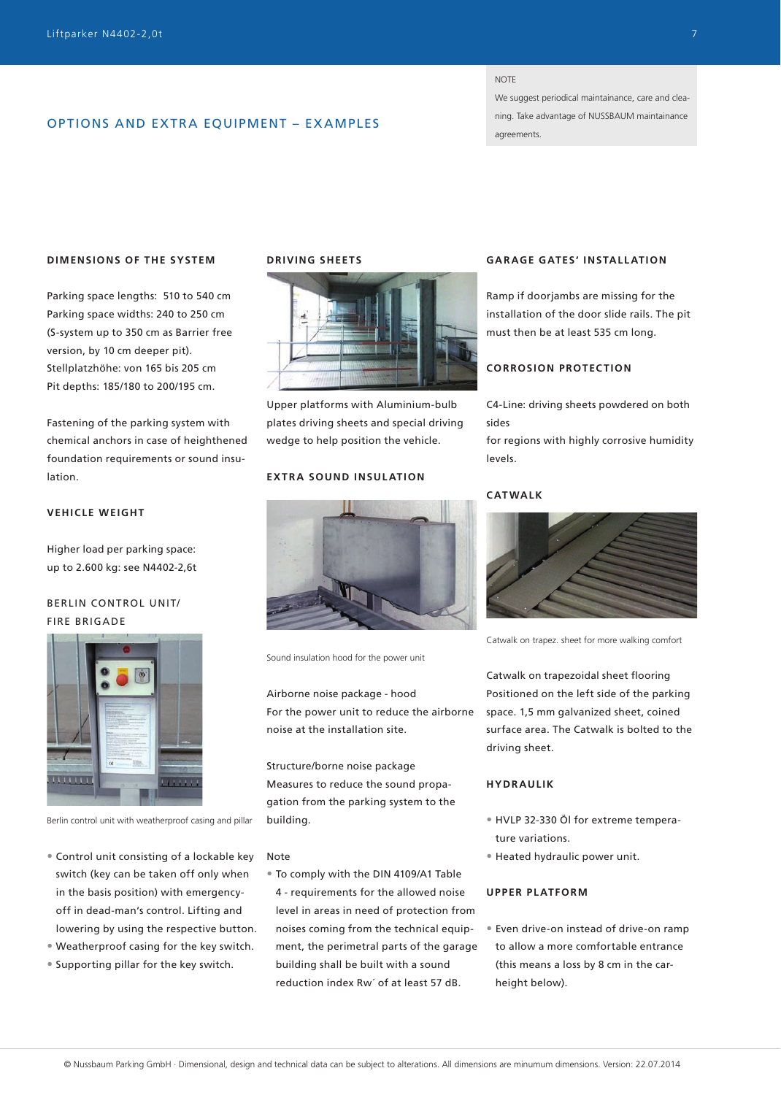## OPTIONS AND EXTRA EQUIPMENT – EXAMPLES

#### **NOTE**

We suggest periodical maintainance, care and cleaning. Take advantage of NUSSBAUM maintainance agreements.

## **DIMENSIONS OF THE SYSTEM**

Parking space lengths: 510 to 540 cm Parking space widths: 240 to 250 cm (S-system up to 350 cm as Barrier free version, by 10 cm deeper pit). Stellplatzhöhe: von 165 bis 205 cm Pit depths: 185/180 to 200/195 cm.

Fastening of the parking system with chemical anchors in case of heighthened foundation requirements or sound insulation.

## **VEHICLE WEIGHT**

Higher load per parking space: up to 2.600 kg: see N4402-2,6t

## BERLIN CONTROL UNIT/ FIRE BRIGADE



Berlin control unit with weatherproof casing and pillar

- Control unit consisting of a lockable key switch (key can be taken off only when in the basis position) with emergencyoff in dead-man's control. Lifting and lowering by using the respective button.
- Weatherproof casing for the key switch.
- Supporting pillar for the key switch.

#### **DRIVING SHEETS**



Upper platforms with Aluminium-bulb plates driving sheets and special driving wedge to help position the vehicle.

## **EXTRA SOUND INSULATION**



Sound insulation hood for the power unit

Airborne noise package - hood For the power unit to reduce the airborne noise at the installation site.

Structure/borne noise package Measures to reduce the sound propagation from the parking system to the building.

#### Note

• To comply with the DIN 4109/A1 Table 4 - requirements for the allowed noise level in areas in need of protection from noises coming from the technical equipment, the perimetral parts of the garage building shall be built with a sound reduction index Rw´ of at least 57 dB.

## **GAR AGE GATES' INSTALL ATION**

Ramp if doorjambs are missing for the installation of the door slide rails. The pit must then be at least 535 cm long.

## **CORROSION PROTECTION**

C4-Line: driving sheets powdered on both sides

for regions with highly corrosive humidity levels.

## **CATWALK**



Catwalk on trapez. sheet for more walking comfort

Catwalk on trapezoidal sheet flooring Positioned on the left side of the parking space. 1,5 mm galvanized sheet, coined surface area. The Catwalk is bolted to the driving sheet.

## **HYDRAULIK**

- HVLP 32-330 Öl for extreme temperature variations.
- Heated hydraulic power unit.

## **UPPER PLATFORM**

• Even drive-on instead of drive-on ramp to allow a more comfortable entrance (this means a loss by 8 cm in the carheight below).